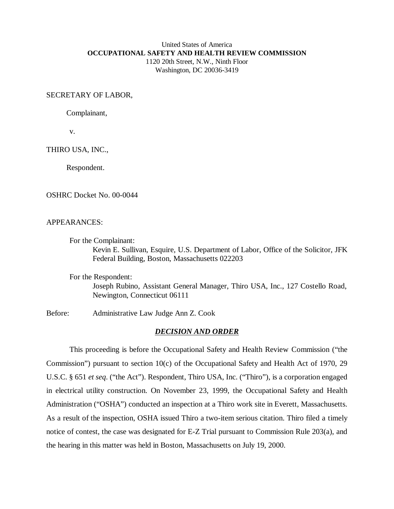## United States of America **OCCUPATIONAL SAFETY AND HEALTH REVIEW COMMISSION** 1120 20th Street, N.W., Ninth Floor Washington, DC 20036-3419

Complainant,

SECRETARY OF LABOR,

v.

THIRO USA, INC.,

Respondent.

OSHRC Docket No. 00-0044

# APPEARANCES:

For the Complainant:

Kevin E. Sullivan, Esquire, U.S. Department of Labor, Office of the Solicitor, JFK Federal Building, Boston, Massachusetts 022203

For the Respondent:

Joseph Rubino, Assistant General Manager, Thiro USA, Inc., 127 Costello Road, Newington, Connecticut 06111

Before: Administrative Law Judge Ann Z. Cook

# *DECISION AND ORDER*

This proceeding is before the Occupational Safety and Health Review Commission ("the Commission") pursuant to section 10(c) of the Occupational Safety and Health Act of 1970, 29 U.S.C. § 651 *et seq*. ("the Act"). Respondent, Thiro USA, Inc. ("Thiro"), is a corporation engaged in electrical utility construction. On November 23, 1999, the Occupational Safety and Health Administration ("OSHA") conducted an inspection at a Thiro work site in Everett, Massachusetts. As a result of the inspection, OSHA issued Thiro a two-item serious citation. Thiro filed a timely notice of contest, the case was designated for E-Z Trial pursuant to Commission Rule 203(a), and the hearing in this matter was held in Boston, Massachusetts on July 19, 2000.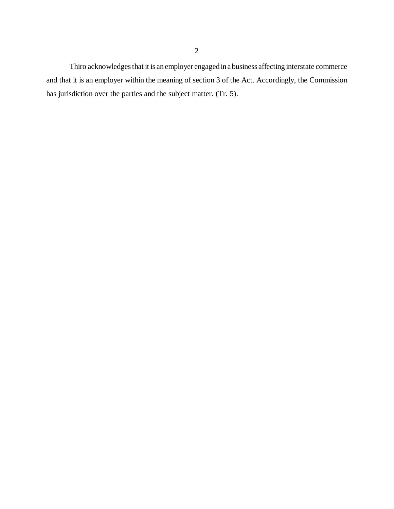Thiro acknowledges that it is an employer engaged in a business affecting interstate commerce and that it is an employer within the meaning of section 3 of the Act. Accordingly, the Commission has jurisdiction over the parties and the subject matter. (Tr. 5).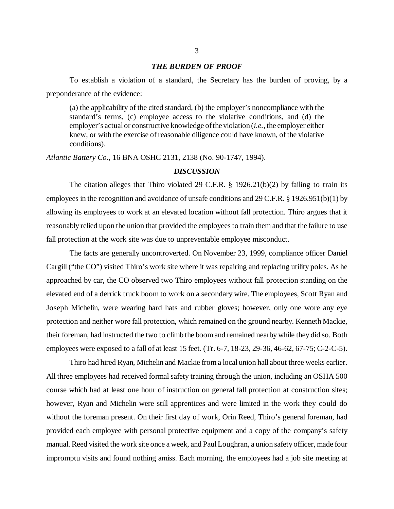#### *THE BURDEN OF PROOF*

To establish a violation of a standard, the Secretary has the burden of proving, by a preponderance of the evidence:

(a) the applicability of the cited standard, (b) the employer's noncompliance with the standard's terms, (c) employee access to the violative conditions, and (d) the employer's actual or constructive knowledge of the violation (*i.e.*, the employer either knew, or with the exercise of reasonable diligence could have known, of the violative conditions).

*Atlantic Battery Co.,* 16 BNA OSHC 2131, 2138 (No. 90-1747, 1994).

#### *DISCUSSION*

The citation alleges that Thiro violated 29 C.F.R.  $\S$  1926.21(b)(2) by failing to train its employees in the recognition and avoidance of unsafe conditions and 29 C.F.R. § 1926.951(b)(1) by allowing its employees to work at an elevated location without fall protection. Thiro argues that it reasonably relied upon the union that provided the employees to train them and that the failure to use fall protection at the work site was due to unpreventable employee misconduct.

The facts are generally uncontroverted. On November 23, 1999, compliance officer Daniel Cargill ("the CO") visited Thiro's work site where it was repairing and replacing utility poles. As he approached by car, the CO observed two Thiro employees without fall protection standing on the elevated end of a derrick truck boom to work on a secondary wire. The employees, Scott Ryan and Joseph Michelin, were wearing hard hats and rubber gloves; however, only one wore any eye protection and neither wore fall protection, which remained on the ground nearby. Kenneth Mackie, their foreman, had instructed the two to climb the boom and remained nearby while they did so. Both employees were exposed to a fall of at least 15 feet. (Tr. 6-7, 18-23, 29-36, 46-62, 67-75; C-2-C-5).

Thiro had hired Ryan, Michelin and Mackie from a local union hall about three weeks earlier. All three employees had received formal safety training through the union, including an OSHA 500 course which had at least one hour of instruction on general fall protection at construction sites; however, Ryan and Michelin were still apprentices and were limited in the work they could do without the foreman present. On their first day of work, Orin Reed, Thiro's general foreman, had provided each employee with personal protective equipment and a copy of the company's safety manual. Reed visited the work site once a week, and Paul Loughran, a union safety officer, made four impromptu visits and found nothing amiss. Each morning, the employees had a job site meeting at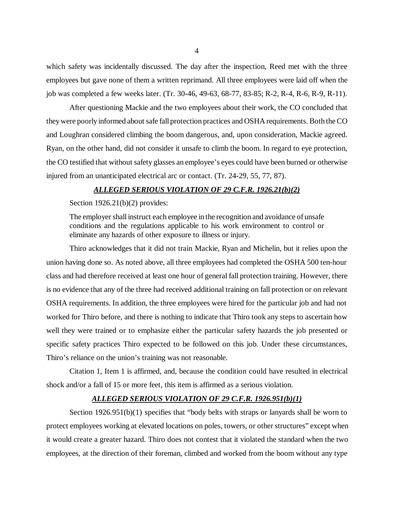which safety was incidentally discussed. The day after the inspection, Reed met with the three employees but gave none of them a written reprimand. All three employees were laid off when the job was completed a few weeks later. (Tr. 30-46, 49-63, 68-77, 83-85; R-2, R-4, R-6, R-9, R-11).

After questioning Mackie and the two employees about their work, the CO concluded that they were poorly informed about safe fall protection practices and OSHA requirements. Both the CO and Loughran considered climbing the boom dangerous, and, upon consideration, Mackie agreed. Ryan, on the other hand, did not consider it unsafe to climb the boom. In regard to eye protection, the CO testified that without safety glasses an employee's eyes could have been burned or otherwise injured from an unanticipated electrical arc or contact. (Tr. 24-29, 55, 77, 87).

#### *ALLEGED SERIOUS VIOLATION OF 29 C.F.R. 1926.21(b)(2)*

Section 1926.21(b)(2) provides:

The employer shall instruct each employee in the recognition and avoidance of unsafe conditions and the regulations applicable to his work environment to control or eliminate any hazards of other exposure to illness or injury.

Thiro acknowledges that it did not train Mackie, Ryan and Michelin, but it relies upon the union having done so. As noted above, all three employees had completed the OSHA 500 ten-hour class and had therefore received at least one hour of general fall protection training. However, there is no evidence that any of the three had received additional training on fall protection or on relevant OSHA requirements. In addition, the three employees were hired for the particular job and had not worked for Thiro before, and there is nothing to indicate that Thiro took any steps to ascertain how well they were trained or to emphasize either the particular safety hazards the job presented or specific safety practices Thiro expected to be followed on this job. Under these circumstances, Thiro's reliance on the union's training was not reasonable.

Citation 1, Item 1 is affirmed, and, because the condition could have resulted in electrical shock and/or a fall of 15 or more feet, this item is affirmed as a serious violation.

## *ALLEGED SERIOUS VIOLATION OF 29 C.F.R. 1926.951(b)(1)*

Section 1926.951(b)(1) specifies that "body belts with straps or lanyards shall be worn to protect employees working at elevated locations on poles, towers, or other structures" except when it would create a greater hazard. Thiro does not contest that it violated the standard when the two employees, at the direction of their foreman, climbed and worked from the boom without any type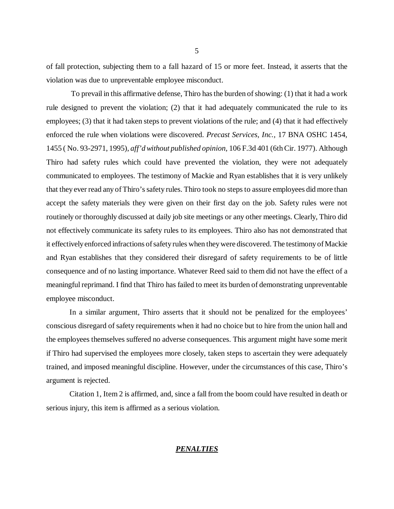of fall protection, subjecting them to a fall hazard of 15 or more feet. Instead, it asserts that the violation was due to unpreventable employee misconduct.

 To prevail in this affirmative defense, Thiro has the burden of showing: (1) that it had a work rule designed to prevent the violation; (2) that it had adequately communicated the rule to its employees; (3) that it had taken steps to prevent violations of the rule; and (4) that it had effectively enforced the rule when violations were discovered. *Precast Services, Inc.,* 17 BNA OSHC 1454, 1455 ( No. 93-2971, 1995), *aff'd without published opinion,* 106 F.3d 401 (6th Cir. 1977). Although Thiro had safety rules which could have prevented the violation, they were not adequately communicated to employees. The testimony of Mackie and Ryan establishes that it is very unlikely that they ever read any of Thiro's safety rules. Thiro took no steps to assure employees did more than accept the safety materials they were given on their first day on the job. Safety rules were not routinely or thoroughly discussed at daily job site meetings or any other meetings. Clearly, Thiro did not effectively communicate its safety rules to its employees. Thiro also has not demonstrated that it effectively enforced infractions of safety rules when they were discovered. The testimony of Mackie and Ryan establishes that they considered their disregard of safety requirements to be of little consequence and of no lasting importance. Whatever Reed said to them did not have the effect of a meaningful reprimand. I find that Thiro has failed to meet its burden of demonstrating unpreventable employee misconduct.

In a similar argument, Thiro asserts that it should not be penalized for the employees' conscious disregard of safety requirements when it had no choice but to hire from the union hall and the employees themselves suffered no adverse consequences. This argument might have some merit if Thiro had supervised the employees more closely, taken steps to ascertain they were adequately trained, and imposed meaningful discipline. However, under the circumstances of this case, Thiro's argument is rejected.

Citation 1, Item 2 is affirmed, and, since a fall from the boom could have resulted in death or serious injury, this item is affirmed as a serious violation.

### *PENALTIES*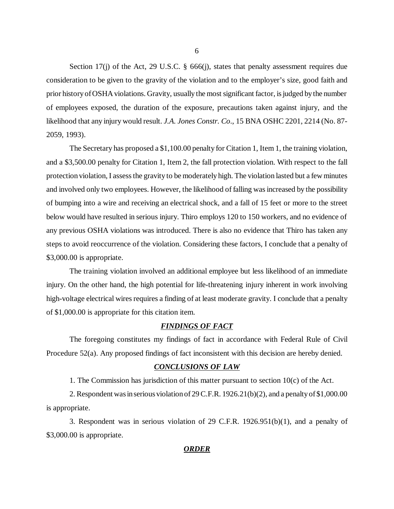Section 17(j) of the Act, 29 U.S.C.  $\S$  666(j), states that penalty assessment requires due consideration to be given to the gravity of the violation and to the employer's size, good faith and prior history of OSHA violations. Gravity, usually the most significant factor, is judged by the number of employees exposed, the duration of the exposure, precautions taken against injury, and the likelihood that any injury would result. *J.A. Jones Constr. Co*., 15 BNA OSHC 2201, 2214 (No. 87- 2059, 1993).

The Secretary has proposed a \$1,100.00 penalty for Citation 1, Item 1, the training violation, and a \$3,500.00 penalty for Citation 1, Item 2, the fall protection violation. With respect to the fall protection violation, I assess the gravity to be moderately high. The violation lasted but a few minutes and involved only two employees. However, the likelihood of falling was increased by the possibility of bumping into a wire and receiving an electrical shock, and a fall of 15 feet or more to the street below would have resulted in serious injury. Thiro employs 120 to 150 workers, and no evidence of any previous OSHA violations was introduced. There is also no evidence that Thiro has taken any steps to avoid reoccurrence of the violation. Considering these factors, I conclude that a penalty of \$3,000.00 is appropriate.

The training violation involved an additional employee but less likelihood of an immediate injury. On the other hand, the high potential for life-threatening injury inherent in work involving high-voltage electrical wires requires a finding of at least moderate gravity. I conclude that a penalty of \$1,000.00 is appropriate for this citation item.

#### *FINDINGS OF FACT*

The foregoing constitutes my findings of fact in accordance with Federal Rule of Civil Procedure 52(a). Any proposed findings of fact inconsistent with this decision are hereby denied.

#### *CONCLUSIONS OF LAW*

1. The Commission has jurisdiction of this matter pursuant to section  $10(c)$  of the Act.

2. Respondent was in serious violation of 29 C.F.R. 1926.21(b)(2), and a penalty of \$1,000.00 is appropriate.

3. Respondent was in serious violation of 29 C.F.R. 1926.951(b)(1), and a penalty of \$3,000.00 is appropriate.

## *ORDER*